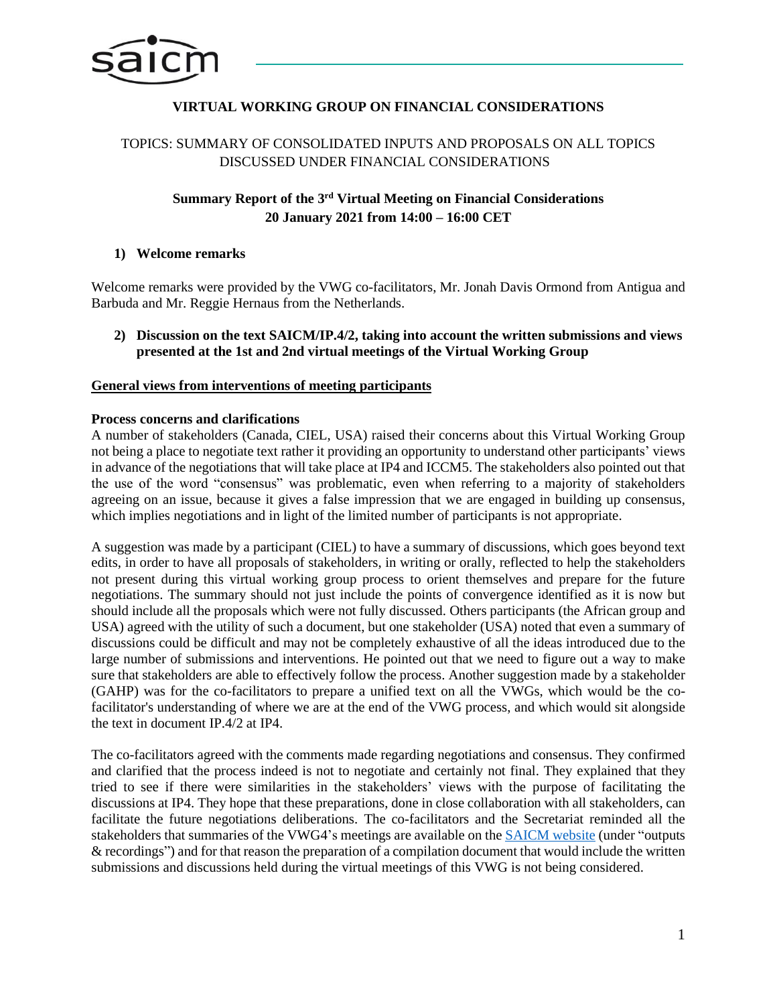

# **VIRTUAL WORKING GROUP ON FINANCIAL CONSIDERATIONS**

# TOPICS: SUMMARY OF CONSOLIDATED INPUTS AND PROPOSALS ON ALL TOPICS DISCUSSED UNDER FINANCIAL CONSIDERATIONS

# **Summary Report of the 3 rd Virtual Meeting on Financial Considerations 20 January 2021 from 14:00 – 16:00 CET**

#### **1) Welcome remarks**

Welcome remarks were provided by the VWG co-facilitators, Mr. Jonah Davis Ormond from Antigua and Barbuda and Mr. Reggie Hernaus from the Netherlands.

#### **2) Discussion on the text SAICM/IP.4/2, taking into account the written submissions and views presented at the 1st and 2nd virtual meetings of the Virtual Working Group**

#### **General views from interventions of meeting participants**

#### **Process concerns and clarifications**

A number of stakeholders (Canada, CIEL, USA) raised their concerns about this Virtual Working Group not being a place to negotiate text rather it providing an opportunity to understand other participants' views in advance of the negotiations that will take place at IP4 and ICCM5. The stakeholders also pointed out that the use of the word "consensus" was problematic, even when referring to a majority of stakeholders agreeing on an issue, because it gives a false impression that we are engaged in building up consensus, which implies negotiations and in light of the limited number of participants is not appropriate.

A suggestion was made by a participant (CIEL) to have a summary of discussions, which goes beyond text edits, in order to have all proposals of stakeholders, in writing or orally, reflected to help the stakeholders not present during this virtual working group process to orient themselves and prepare for the future negotiations. The summary should not just include the points of convergence identified as it is now but should include all the proposals which were not fully discussed. Others participants (the African group and USA) agreed with the utility of such a document, but one stakeholder (USA) noted that even a summary of discussions could be difficult and may not be completely exhaustive of all the ideas introduced due to the large number of submissions and interventions. He pointed out that we need to figure out a way to make sure that stakeholders are able to effectively follow the process. Another suggestion made by a stakeholder (GAHP) was for the co-facilitators to prepare a unified text on all the VWGs, which would be the cofacilitator's understanding of where we are at the end of the VWG process, and which would sit alongside the text in document IP.4/2 at IP4.

The co-facilitators agreed with the comments made regarding negotiations and consensus. They confirmed and clarified that the process indeed is not to negotiate and certainly not final. They explained that they tried to see if there were similarities in the stakeholders' views with the purpose of facilitating the discussions at IP4. They hope that these preparations, done in close collaboration with all stakeholders, can facilitate the future negotiations deliberations. The co-facilitators and the Secretariat reminded all the stakeholders that summaries of the VWG4's meetings are available on the [SAICM website](http://www.saicm.org/Beyond2020/IntersessionalProcess/VirtualWorkingGroups/tabid/8563/language/en-US/Default.aspx) (under "outputs & recordings") and for that reason the preparation of a compilation document that would include the written submissions and discussions held during the virtual meetings of this VWG is not being considered.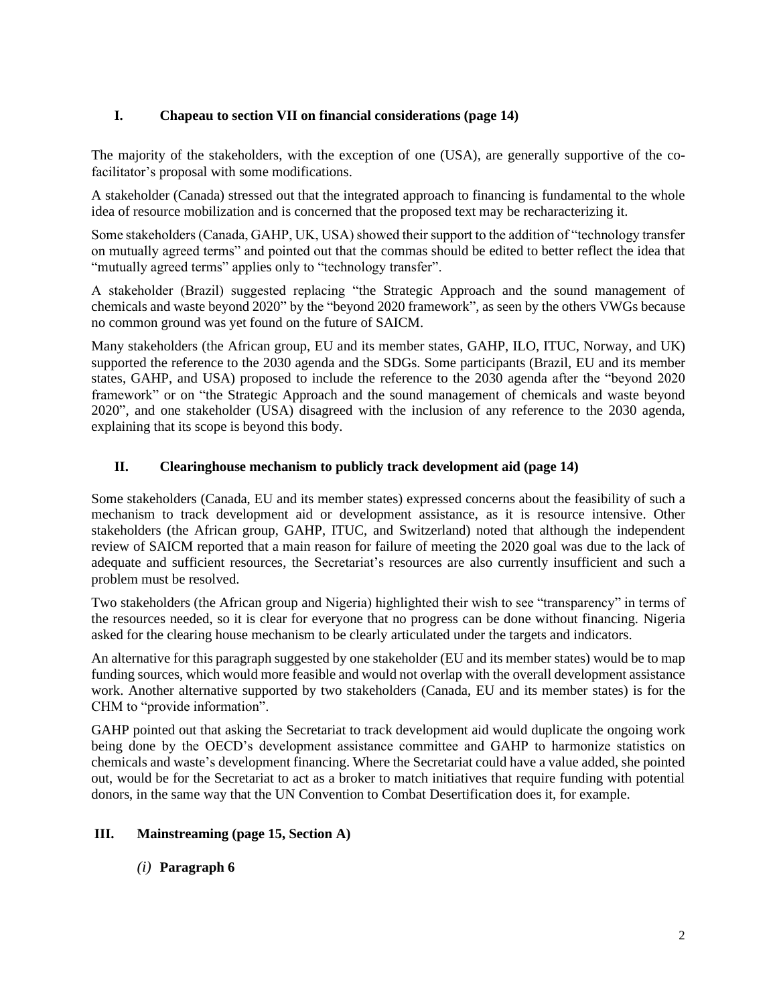# **I. Chapeau to section VII on financial considerations (page 14)**

The majority of the stakeholders, with the exception of one (USA), are generally supportive of the cofacilitator's proposal with some modifications.

A stakeholder (Canada) stressed out that the integrated approach to financing is fundamental to the whole idea of resource mobilization and is concerned that the proposed text may be recharacterizing it.

Some stakeholders (Canada, GAHP, UK, USA) showed their support to the addition of "technology transfer on mutually agreed terms" and pointed out that the commas should be edited to better reflect the idea that "mutually agreed terms" applies only to "technology transfer".

A stakeholder (Brazil) suggested replacing "the Strategic Approach and the sound management of chemicals and waste beyond 2020" by the "beyond 2020 framework", as seen by the others VWGs because no common ground was yet found on the future of SAICM.

Many stakeholders (the African group, EU and its member states, GAHP, ILO, ITUC, Norway, and UK) supported the reference to the 2030 agenda and the SDGs. Some participants (Brazil, EU and its member states, GAHP, and USA) proposed to include the reference to the 2030 agenda after the "beyond 2020 framework" or on "the Strategic Approach and the sound management of chemicals and waste beyond 2020", and one stakeholder (USA) disagreed with the inclusion of any reference to the 2030 agenda, explaining that its scope is beyond this body.

### **II. Clearinghouse mechanism to publicly track development aid (page 14)**

Some stakeholders (Canada, EU and its member states) expressed concerns about the feasibility of such a mechanism to track development aid or development assistance, as it is resource intensive. Other stakeholders (the African group, GAHP, ITUC, and Switzerland) noted that although the independent review of SAICM reported that a main reason for failure of meeting the 2020 goal was due to the lack of adequate and sufficient resources, the Secretariat's resources are also currently insufficient and such a problem must be resolved.

Two stakeholders (the African group and Nigeria) highlighted their wish to see "transparency" in terms of the resources needed, so it is clear for everyone that no progress can be done without financing. Nigeria asked for the clearing house mechanism to be clearly articulated under the targets and indicators.

An alternative for this paragraph suggested by one stakeholder (EU and its member states) would be to map funding sources, which would more feasible and would not overlap with the overall development assistance work. Another alternative supported by two stakeholders (Canada, EU and its member states) is for the CHM to "provide information".

GAHP pointed out that asking the Secretariat to track development aid would duplicate the ongoing work being done by the OECD's development assistance committee and GAHP to harmonize statistics on chemicals and waste's development financing. Where the Secretariat could have a value added, she pointed out, would be for the Secretariat to act as a broker to match initiatives that require funding with potential donors, in the same way that the UN Convention to Combat Desertification does it, for example.

## **III. Mainstreaming (page 15, Section A)**

*(i)* **Paragraph 6**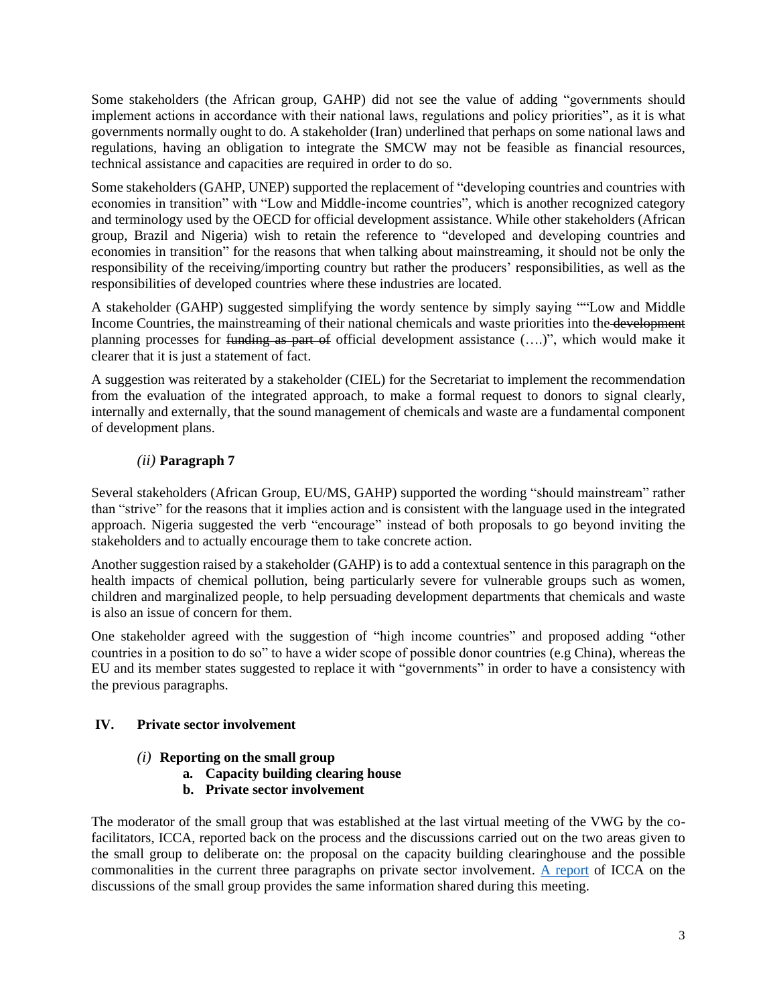Some stakeholders (the African group, GAHP) did not see the value of adding "governments should implement actions in accordance with their national laws, regulations and policy priorities", as it is what governments normally ought to do. A stakeholder (Iran) underlined that perhaps on some national laws and regulations, having an obligation to integrate the SMCW may not be feasible as financial resources, technical assistance and capacities are required in order to do so.

Some stakeholders (GAHP, UNEP) supported the replacement of "developing countries and countries with economies in transition" with "Low and Middle-income countries", which is another recognized category and terminology used by the OECD for official development assistance. While other stakeholders (African group, Brazil and Nigeria) wish to retain the reference to "developed and developing countries and economies in transition" for the reasons that when talking about mainstreaming, it should not be only the responsibility of the receiving/importing country but rather the producers' responsibilities, as well as the responsibilities of developed countries where these industries are located.

A stakeholder (GAHP) suggested simplifying the wordy sentence by simply saying ""Low and Middle Income Countries, the mainstreaming of their national chemicals and waste priorities into the development planning processes for funding as part of official development assistance (….)", which would make it clearer that it is just a statement of fact.

A suggestion was reiterated by a stakeholder (CIEL) for the Secretariat to implement the recommendation from the evaluation of the integrated approach, to make a formal request to donors to signal clearly, internally and externally, that the sound management of chemicals and waste are a fundamental component of development plans.

# *(ii)* **Paragraph 7**

Several stakeholders (African Group, EU/MS, GAHP) supported the wording "should mainstream" rather than "strive" for the reasons that it implies action and is consistent with the language used in the integrated approach. Nigeria suggested the verb "encourage" instead of both proposals to go beyond inviting the stakeholders and to actually encourage them to take concrete action.

Another suggestion raised by a stakeholder (GAHP) is to add a contextual sentence in this paragraph on the health impacts of chemical pollution, being particularly severe for vulnerable groups such as women, children and marginalized people, to help persuading development departments that chemicals and waste is also an issue of concern for them.

One stakeholder agreed with the suggestion of "high income countries" and proposed adding "other countries in a position to do so" to have a wider scope of possible donor countries (e.g China), whereas the EU and its member states suggested to replace it with "governments" in order to have a consistency with the previous paragraphs.

## **IV. Private sector involvement**

## *(i)* **Reporting on the small group**

- **a. Capacity building clearing house**
- **b. Private sector involvement**

The moderator of the small group that was established at the last virtual meeting of the VWG by the cofacilitators, ICCA, reported back on the process and the discussions carried out on the two areas given to the small group to deliberate on: the proposal on the capacity building clearinghouse and the possible commonalities in the current three paragraphs on private sector involvement. A [report](http://www.saicm.org/Portals/12/documents/meetings/VirtualWG/Finance/main_take_away_small_group_VWG4_7Dec2020-FINAL.pdf) of ICCA on the discussions of the small group provides the same information shared during this meeting.